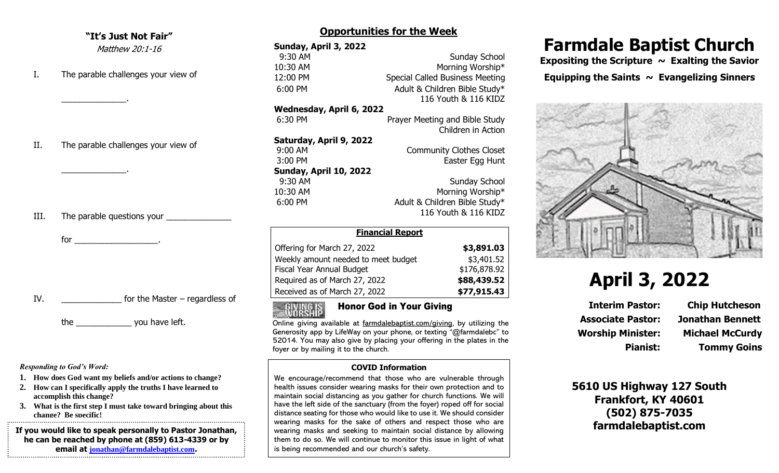### **"It's Just Not Fair"**

Matthew 20:1-16

I. The parable challenges your view of

 $\mathcal{L}=\mathcal{L}^{\mathcal{L}}$  , where  $\mathcal{L}^{\mathcal{L}}$ 

 $\mathcal{L}=\mathcal{L}^{\mathcal{L}}$  , where  $\mathcal{L}^{\mathcal{L}}$ 

II. The parable challenges your view of

III. The parable questions your

for  $\overline{\phantom{a}}$ 

| IV. | for the Master $-$ regardless of |
|-----|----------------------------------|
|     |                                  |

the zou have left.

*Responding to God's Word:*

- **1. How does God want my beliefs and/or actions to change?**
- **2. How can I specifically apply the truths I have learned to accomplish this change?**
- **3. What is the first step I must take toward bringing about this change? Be specific!**

**If you would like to speak personally to Pastor Jonathan, he can be reached by phone at (859) 613-4339 or by email at [jonathan@farmdalebaptist.com](mailto:jonathan@farmdalebaptist.com).**

## **Opportunities for the Week**

| Sunday, April 3, 2022         |                                        |  |  |  |
|-------------------------------|----------------------------------------|--|--|--|
| 9:30 AM                       | Sunday School                          |  |  |  |
| 10:30 AM                      | Morning Worship*                       |  |  |  |
| 12:00 PM                      | <b>Special Called Business Meeting</b> |  |  |  |
| 6:00 PM                       | Adult & Children Bible Study*          |  |  |  |
|                               | 116 Youth & 116 KIDZ                   |  |  |  |
| Wednesday, April 6, 2022      |                                        |  |  |  |
| 6:30 PM                       | Prayer Meeting and Bible Study         |  |  |  |
|                               | Children in Action                     |  |  |  |
| Saturday, April 9, 2022       |                                        |  |  |  |
| 9:00 AM                       | <b>Community Clothes Closet</b>        |  |  |  |
| 3:00 PM                       | Easter Egg Hunt                        |  |  |  |
| <b>Sunday, April 10, 2022</b> |                                        |  |  |  |
| 9:30 AM                       | Sunday School                          |  |  |  |
| 10:30 AM                      | Morning Worship*                       |  |  |  |
| 6:00 PM                       | Adult & Children Bible Study*          |  |  |  |
|                               | 116 Youth & 116 KIDZ                   |  |  |  |
| <b>Financial Report</b>       |                                        |  |  |  |

| Filialitiai Repult                  |              |
|-------------------------------------|--------------|
| Offering for March 27, 2022         | \$3,891.03   |
| Weekly amount needed to meet budget | \$3,401.52   |
| Fiscal Year Annual Budget           | \$176,878.92 |
| Required as of March 27, 2022       | \$88,439.52  |
| Received as of March 27, 2022       | \$77,915.43  |

# Honor God in Your Giving

Online giving available at farmdalebaptist.com/giving, by utilizing the Generosity app by LifeWay on your phone, or texting "@farmdalebc" to 52014. You may also give by placing your offering in the plates in the foyer or by mailing it to the church.

### **COVID Information**

We encourage/recommend that those who are vulnerable through health issues consider wearing masks for their own protection and to maintain social distancing as you gather for church functions. We will have the left side of the sanctuary (from the foyer) roped off for social distance seating for those who would like to use it. We should consider wearing masks for the sake of others and respect those who are wearing masks and seeking to maintain social distance by allowing them to do so. We will continue to monitor this issue in light of what is being recommended and our church's safety.

# **Farmdale Baptist Church**

Expositing the Scripture ~ Exalting the Savior Equipping the Saints  $\sim$  Evangelizing Sinners



# **April 3, 2022**

**Associate Pastor: Jonathan Bennett Worship Minister: Michael McCurdy**

**Interim Pastor: Chip Hutcheson Pianist: Tommy Goins**

**5610 US Highway 127 South Frankfort, KY 40601 (502) 875-7035 farmdalebaptist.com**